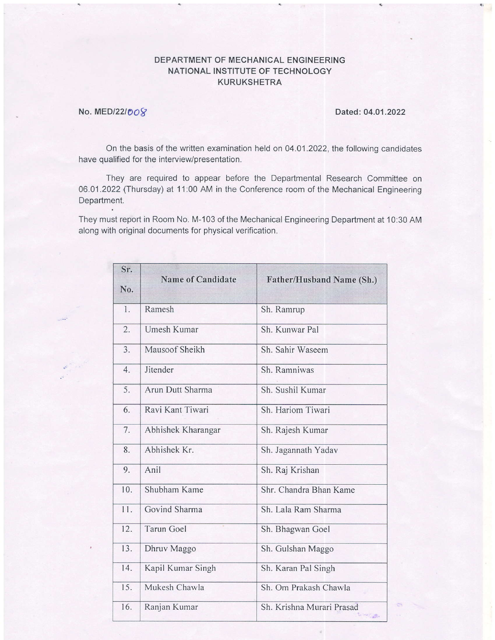## DEPARTMENT OF MECHANICAL ENGINEERING NATIONAL INSTITUTE OF TECHNOLOGY KURUKSHETRA

## No. MED/22/008 Dated: 04.01.2022

On the basis of the written examination held on 04.01.2022, the following candidates have qualified for the interview/presentation.

They are required to appear before the Departmental Research Committee on 06.01.2022 (Thursday) at 11:00 AM in the Conference room of the Mechanical Engineering Department.

They must report in Room No. M-103 of the Mechanical Engineering Department at 10:30 AM along with original documents for physical verification.

| Sr. | <b>Name of Candidate</b> | <b>Father/Husband Name (Sh.)</b>                             |
|-----|--------------------------|--------------------------------------------------------------|
| No. |                          |                                                              |
| 1.  | Ramesh                   | Sh. Ramrup                                                   |
| 2.  | Umesh Kumar              | Sh. Kunwar Pal                                               |
| 3.  | Mausoof Sheikh           | Sh. Sahir Waseem                                             |
| 4.  | Jitender                 | Sh. Ramniwas                                                 |
| 5.  | Arun Dutt Sharma         | Sh. Sushil Kumar                                             |
| 6.  | Ravi Kant Tiwari         | Sh. Hariom Tiwari                                            |
| 7.  | Abhishek Kharangar       | Sh. Rajesh Kumar                                             |
| 8.  | Abhishek Kr.             | Sh. Jagannath Yadav                                          |
| 9.  | Anil                     | Sh. Raj Krishan                                              |
| 10. | Shubham Kame             | Shr. Chandra Bhan Kame                                       |
| 11. | Govind Sharma            | Sh. Lala Ram Sharma                                          |
| 12. | <b>Tarun Goel</b>        | Sh. Bhagwan Goel                                             |
| 13. | Dhruv Maggo              | Sh. Gulshan Maggo                                            |
| 14. | Kapil Kumar Singh        | Sh. Karan Pal Singh                                          |
| 15. | Mukesh Chawla            | Sh. Om Prakash Chawla                                        |
| 16. | Ranjan Kumar             | Sh. Krishna Murari Prasad<br>$\mathbb{R}^n \to \mathbb{R}^n$ |